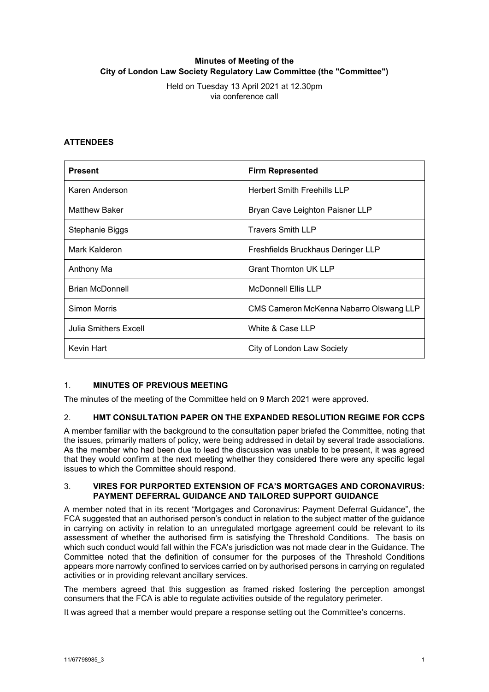# **Minutes of Meeting of the City of London Law Society Regulatory Law Committee (the "Committee")**

Held on Tuesday 13 April 2021 at 12.30pm via conference call

## **ATTENDEES**

| <b>Present</b>         | <b>Firm Represented</b>                 |
|------------------------|-----------------------------------------|
| Karen Anderson         | <b>Herbert Smith Freehills LLP</b>      |
| <b>Matthew Baker</b>   | Bryan Cave Leighton Paisner LLP         |
| Stephanie Biggs        | <b>Travers Smith LLP</b>                |
| Mark Kalderon          | Freshfields Bruckhaus Deringer LLP      |
| Anthony Ma             | <b>Grant Thornton UK LLP</b>            |
| <b>Brian McDonnell</b> | <b>McDonnell Ellis LLP</b>              |
| Simon Morris           | CMS Cameron McKenna Nabarro Olswang LLP |
| Julia Smithers Excell  | White & Case LLP                        |
| Kevin Hart             | City of London Law Society              |

### 1. **MINUTES OF PREVIOUS MEETING**

The minutes of the meeting of the Committee held on 9 March 2021 were approved.

### 2. **HMT CONSULTATION PAPER ON THE EXPANDED RESOLUTION REGIME FOR CCPS**

A member familiar with the background to the consultation paper briefed the Committee, noting that the issues, primarily matters of policy, were being addressed in detail by several trade associations. As the member who had been due to lead the discussion was unable to be present, it was agreed that they would confirm at the next meeting whether they considered there were any specific legal issues to which the Committee should respond.

#### 3. **VIRES FOR PURPORTED EXTENSION OF FCA'S MORTGAGES AND CORONAVIRUS: PAYMENT DEFERRAL GUIDANCE AND TAILORED SUPPORT GUIDANCE**

A member noted that in its recent "Mortgages and Coronavirus: Payment Deferral Guidance", the FCA suggested that an authorised person's conduct in relation to the subject matter of the guidance in carrying on activity in relation to an unregulated mortgage agreement could be relevant to its assessment of whether the authorised firm is satisfying the Threshold Conditions. The basis on which such conduct would fall within the FCA's jurisdiction was not made clear in the Guidance. The Committee noted that the definition of consumer for the purposes of the Threshold Conditions appears more narrowly confined to services carried on by authorised persons in carrying on regulated activities or in providing relevant ancillary services.

The members agreed that this suggestion as framed risked fostering the perception amongst consumers that the FCA is able to regulate activities outside of the regulatory perimeter.

It was agreed that a member would prepare a response setting out the Committee's concerns.